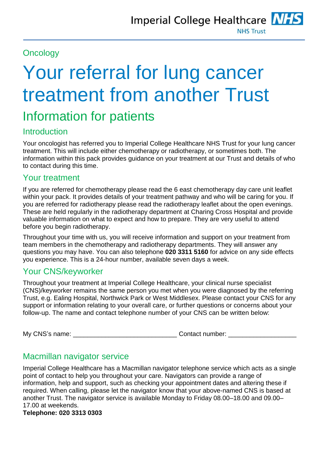# **Oncology**

# Your referral for lung cancer treatment from another Trust

# Information for patients

# **Introduction**

Your oncologist has referred you to Imperial College Healthcare NHS Trust for your lung cancer treatment. This will include either chemotherapy or radiotherapy, or sometimes both. The information within this pack provides guidance on your treatment at our Trust and details of who to contact during this time.

# Your treatment

If you are referred for chemotherapy please read the 6 east chemotherapy day care unit leaflet within your pack. It provides details of your treatment pathway and who will be caring for you. If you are referred for radiotherapy please read the radiotherapy leaflet about the open evenings. These are held regularly in the radiotherapy department at Charing Cross Hospital and provide valuable information on what to expect and how to prepare. They are very useful to attend before you begin radiotherapy.

Throughout your time with us, you will receive information and support on your treatment from team members in the chemotherapy and radiotherapy departments. They will answer any questions you may have. You can also telephone **020 3311 5160** for advice on any side effects you experience. This is a 24-hour number, available seven days a week.

# Your CNS/keyworker

Throughout your treatment at Imperial College Healthcare, your clinical nurse specialist (CNS)/keyworker remains the same person you met when you were diagnosed by the referring Trust, e.g. Ealing Hospital, Northwick Park or West Middlesex. Please contact your CNS for any support or information relating to your overall care, or further questions or concerns about your follow-up. The name and contact telephone number of your CNS can be written below:

My CNS's name: <u>and the set of the set of the contact number:</u>  $\blacksquare$ 

# Macmillan navigator service

Imperial College Healthcare has a Macmillan navigator telephone service which acts as a single point of contact to help you throughout your care. Navigators can provide a range of information, help and support, such as checking your appointment dates and altering these if required. When calling, please let the navigator know that your above-named CNS is based at another Trust. The navigator service is available Monday to Friday 08.00–18.00 and 09.00– 17.00 at weekends.

**Telephone: 020 3313 0303**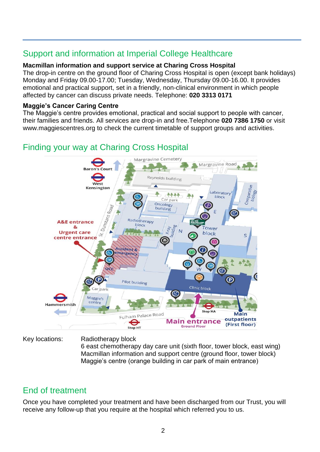# Support and information at Imperial College Healthcare

### **Macmillan information and support service at Charing Cross Hospital**

The drop-in centre on the ground floor of Charing Cross Hospital is open (except bank holidays) Monday and Friday 09.00-17.00; Tuesday, Wednesday, Thursday 09.00-16.00. It provides emotional and practical support, set in a friendly, non-clinical environment in which people affected by cancer can discuss private needs. Telephone: **020 3313 0171**

#### **Maggie's Cancer Caring Centre**

The Maggie's centre provides emotional, practical and social support to people with cancer, their families and friends. All services are drop-in and free.Telephone **020 7386 1750** or visit [www.maggiescentres.org](http://www.maggiescentres.org/) to check the current timetable of support groups and activities.

# Finding your way at Charing Cross Hospital



Key locations: Radiotherapy block

6 east chemotherapy day care unit (sixth floor, tower block, east wing) Macmillan information and support centre (ground floor, tower block) Maggie's centre (orange building in car park of main entrance)

# End of treatment

Once you have completed your treatment and have been discharged from our Trust, you will receive any follow-up that you require at the hospital which referred you to us.